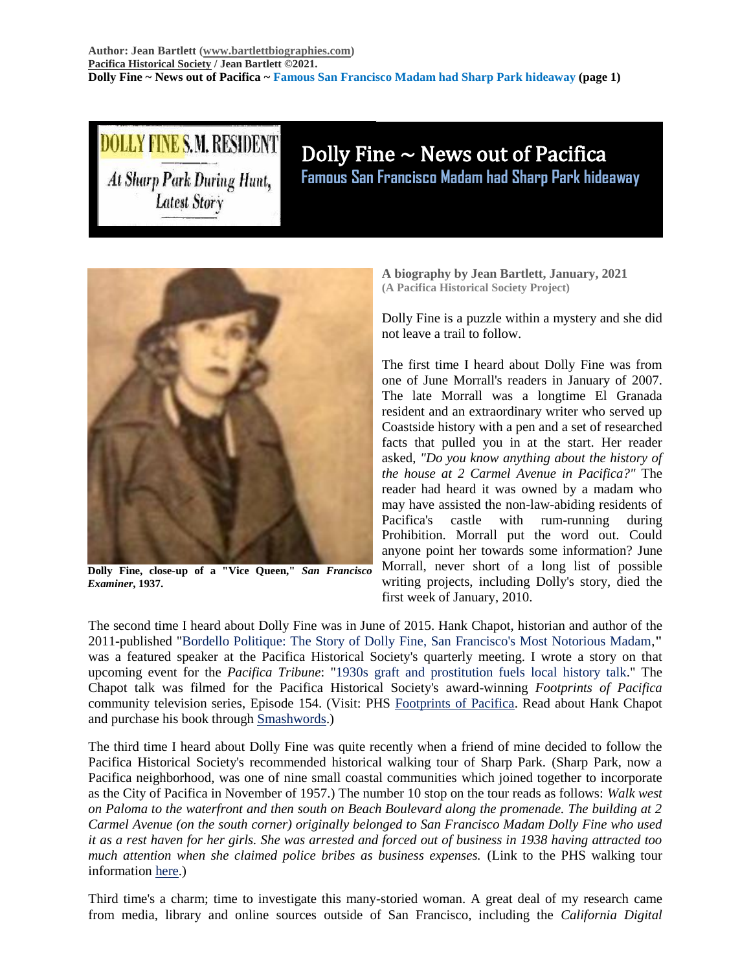# LLY FINE S.M. RESIDENT **At Sharp Park During Hunt, Latest Story**

## Dolly Fine  $\sim$  News out of Pacifica **Famous San Francisco Madam had Sharp Park hideaway**



**Dolly Fine, close-up of a "Vice Queen,"** *San Francisco Examiner***, 1937.**

**A biography by Jean Bartlett, January, 2021 (A Pacifica Historical Society Project)**

Dolly Fine is a puzzle within a mystery and she did not leave a trail to follow.

The first time I heard about Dolly Fine was from one of June Morrall's readers in January of 2007. The late Morrall was a longtime El Granada resident and an extraordinary writer who served up Coastside history with a pen and a set of researched facts that pulled you in at the start. Her reader asked, *"Do you know anything about the history of the house at 2 Carmel Avenue in Pacifica?"* The reader had heard it was owned by a madam who may have assisted the non-law-abiding residents of Pacifica's castle with rum-running during Prohibition. Morrall put the word out. Could anyone point her towards some information? June Morrall, never short of a long list of possible writing projects, including Dolly's story, died the first week of January, 2010.

The second time I heard about Dolly Fine was in June of 2015. Hank Chapot, historian and author of the 2011-published "Bordello Politique: The Story of Dolly Fine, San Francisco's Most Notorious Madam,**"** was a featured speaker at the Pacifica Historical Society's quarterly meeting. I wrote a story on that upcoming event for the *Pacifica Tribune*: "1930s graft and prostitution fuels local history talk." The Chapot talk was filmed for the Pacifica Historical Society's award-winning *Footprints of Pacifica* community television series, Episode 154. (Visit: PHS [Footprints of Pacifica.](https://pacificahistory.org/footprints-of-pacifica) Read about Hank Chapot and purchase his book through [Smashwords.](https://www.smashwords.com/profile/view/hchapot))

The third time I heard about Dolly Fine was quite recently when a friend of mine decided to follow the Pacifica Historical Society's recommended historical walking tour of Sharp Park. (Sharp Park, now a Pacifica neighborhood, was one of nine small coastal communities which joined together to incorporate as the City of Pacifica in November of 1957.) The number 10 stop on the tour reads as follows: *Walk west on Paloma to the waterfront and then south on Beach Boulevard along the promenade. The building at 2 Carmel Avenue (on the south corner) originally belonged to San Francisco Madam Dolly Fine who used it as a rest haven for her girls. She was arrested and forced out of business in 1938 having attracted too much attention when she claimed police bribes as business expenses.* (Link to the PHS walking tour information [here.](https://pacificahistory.org/historical-walking-tour))

Third time's a charm; time to investigate this many-storied woman. A great deal of my research came from media, library and online sources outside of San Francisco, including the *California Digital*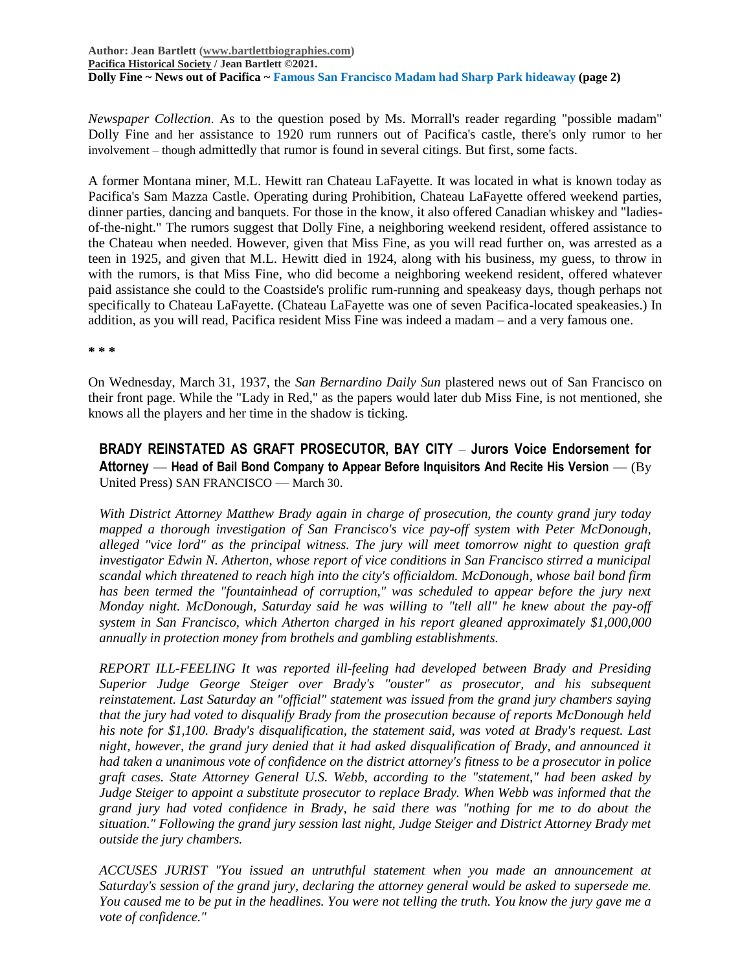*Newspaper Collection*. As to the question posed by Ms. Morrall's reader regarding "possible madam" Dolly Fine and her assistance to 1920 rum runners out of Pacifica's castle, there's only rumor to her involvement – though admittedly that rumor is found in several citings. But first, some facts.

A former Montana miner, M.L. Hewitt ran Chateau LaFayette. It was located in what is known today as Pacifica's Sam Mazza Castle. Operating during Prohibition, Chateau LaFayette offered weekend parties, dinner parties, dancing and banquets. For those in the know, it also offered Canadian whiskey and "ladiesof-the-night." The rumors suggest that Dolly Fine, a neighboring weekend resident, offered assistance to the Chateau when needed. However, given that Miss Fine, as you will read further on, was arrested as a teen in 1925, and given that M.L. Hewitt died in 1924, along with his business, my guess, to throw in with the rumors, is that Miss Fine, who did become a neighboring weekend resident, offered whatever paid assistance she could to the Coastside's prolific rum-running and speakeasy days, though perhaps not specifically to Chateau LaFayette. (Chateau LaFayette was one of seven Pacifica-located speakeasies.) In addition, as you will read, Pacifica resident Miss Fine was indeed a madam – and a very famous one.

**\* \* \***

On Wednesday, March 31, 1937, the *San Bernardino Daily Sun* plastered news out of San Francisco on their front page. While the "Lady in Red," as the papers would later dub Miss Fine, is not mentioned, she knows all the players and her time in the shadow is ticking.

**BRADY REINSTATED AS GRAFT PROSECUTOR, BAY CITY** – **Jurors Voice Endorsement for Attorney** — **Head of Bail Bond Company to Appear Before Inquisitors And Recite His Version** — (By United Press) SAN FRANCISCO — March 30.

*With District Attorney Matthew Brady again in charge of prosecution, the county grand jury today mapped a thorough investigation of San Francisco's vice pay-off system with Peter McDonough, alleged "vice lord" as the principal witness. The jury will meet tomorrow night to question graft investigator Edwin N. Atherton, whose report of vice conditions in San Francisco stirred a municipal scandal which threatened to reach high into the city's officialdom. McDonough, whose bail bond firm*  has been termed the "fountainhead of corruption," was scheduled to appear before the jury next *Monday night. McDonough, Saturday said he was willing to "tell all" he knew about the pay-off system in San Francisco, which Atherton charged in his report gleaned approximately \$1,000,000 annually in protection money from brothels and gambling establishments.* 

*REPORT ILL-FEELING It was reported ill-feeling had developed between Brady and Presiding Superior Judge George Steiger over Brady's "ouster" as prosecutor, and his subsequent reinstatement. Last Saturday an "official" statement was issued from the grand jury chambers saying that the jury had voted to disqualify Brady from the prosecution because of reports McDonough held his note for \$1,100. Brady's disqualification, the statement said, was voted at Brady's request. Last night, however, the grand jury denied that it had asked disqualification of Brady, and announced it had taken a unanimous vote of confidence on the district attorney's fitness to be a prosecutor in police graft cases. State Attorney General U.S. Webb, according to the "statement," had been asked by Judge Steiger to appoint a substitute prosecutor to replace Brady. When Webb was informed that the grand jury had voted confidence in Brady, he said there was "nothing for me to do about the situation." Following the grand jury session last night, Judge Steiger and District Attorney Brady met outside the jury chambers.* 

*ACCUSES JURIST "You issued an untruthful statement when you made an announcement at Saturday's session of the grand jury, declaring the attorney general would be asked to supersede me. You caused me to be put in the headlines. You were not telling the truth. You know the jury gave me a vote of confidence."*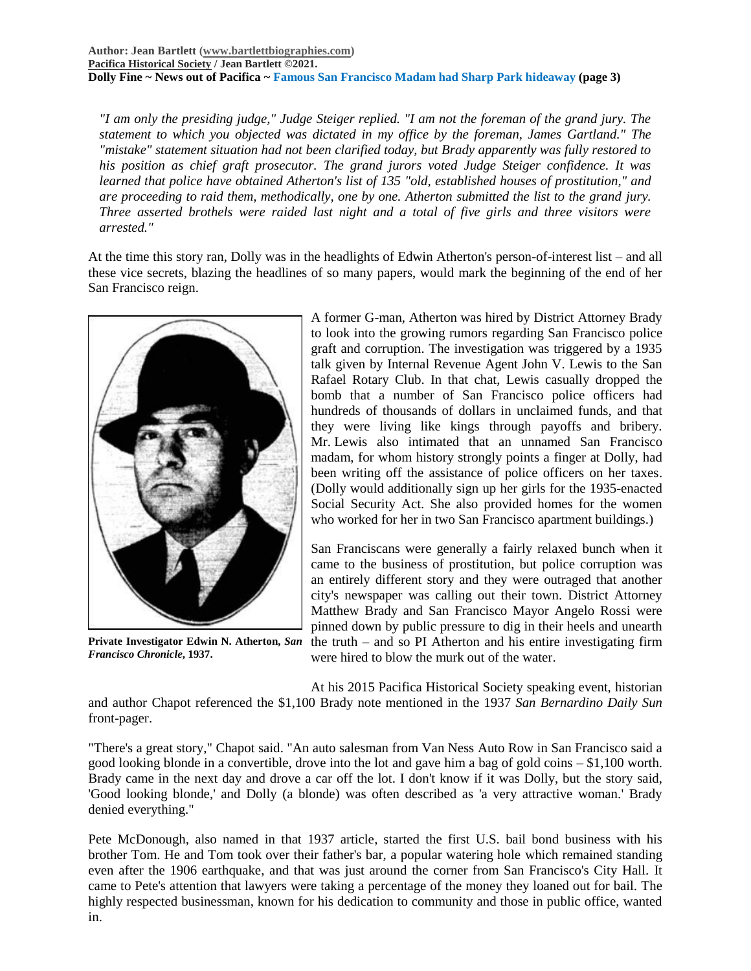#### **Author: Jean Bartlett [\(www.bartlettbiographies.com\)](http://www.bartlettbiographies.com/) [Pacifica Historical Society](http://pacificahistory.org/) / Jean Bartlett ©2021. Dolly Fine ~ News out of Pacifica ~ Famous San Francisco Madam had Sharp Park hideaway (page 3)**

*"I am only the presiding judge," Judge Steiger replied. "I am not the foreman of the grand jury. The statement to which you objected was dictated in my office by the foreman, James Gartland." The "mistake" statement situation had not been clarified today, but Brady apparently was fully restored to his position as chief graft prosecutor. The grand jurors voted Judge Steiger confidence. It was learned that police have obtained Atherton's list of 135 "old, established houses of prostitution," and are proceeding to raid them, methodically, one by one. Atherton submitted the list to the grand jury. Three asserted brothels were raided last night and a total of five girls and three visitors were arrested."*

At the time this story ran, Dolly was in the headlights of Edwin Atherton's person-of-interest list – and all these vice secrets, blazing the headlines of so many papers, would mark the beginning of the end of her San Francisco reign.



**Private Investigator Edwin N. Atherton,** *San Francisco Chronicle***, 1937.**

A former G-man, Atherton was hired by District Attorney Brady to look into the growing rumors regarding San Francisco police graft and corruption. The investigation was triggered by a 1935 talk given by Internal Revenue Agent John V. Lewis to the San Rafael Rotary Club. In that chat, Lewis casually dropped the bomb that a number of San Francisco police officers had hundreds of thousands of dollars in unclaimed funds, and that they were living like kings through payoffs and bribery. Mr. Lewis also intimated that an unnamed San Francisco madam, for whom history strongly points a finger at Dolly, had been writing off the assistance of police officers on her taxes. (Dolly would additionally sign up her girls for the 1935-enacted Social Security Act. She also provided homes for the women who worked for her in two San Francisco apartment buildings.)

San Franciscans were generally a fairly relaxed bunch when it came to the business of prostitution, but police corruption was an entirely different story and they were outraged that another city's newspaper was calling out their town. District Attorney Matthew Brady and San Francisco Mayor Angelo Rossi were pinned down by public pressure to dig in their heels and unearth the truth – and so PI Atherton and his entire investigating firm were hired to blow the murk out of the water.

At his 2015 Pacifica Historical Society speaking event, historian and author Chapot referenced the \$1,100 Brady note mentioned in the 1937 *San Bernardino Daily Sun* front-pager.

"There's a great story," Chapot said. "An auto salesman from Van Ness Auto Row in San Francisco said a good looking blonde in a convertible, drove into the lot and gave him a bag of gold coins  $- $1,100$  worth. Brady came in the next day and drove a car off the lot. I don't know if it was Dolly, but the story said, 'Good looking blonde,' and Dolly (a blonde) was often described as 'a very attractive woman.' Brady denied everything."

Pete McDonough, also named in that 1937 article, started the first U.S. bail bond business with his brother Tom. He and Tom took over their father's bar, a popular watering hole which remained standing even after the 1906 earthquake, and that was just around the corner from San Francisco's City Hall. It came to Pete's attention that lawyers were taking a percentage of the money they loaned out for bail. The highly respected businessman, known for his dedication to community and those in public office, wanted in.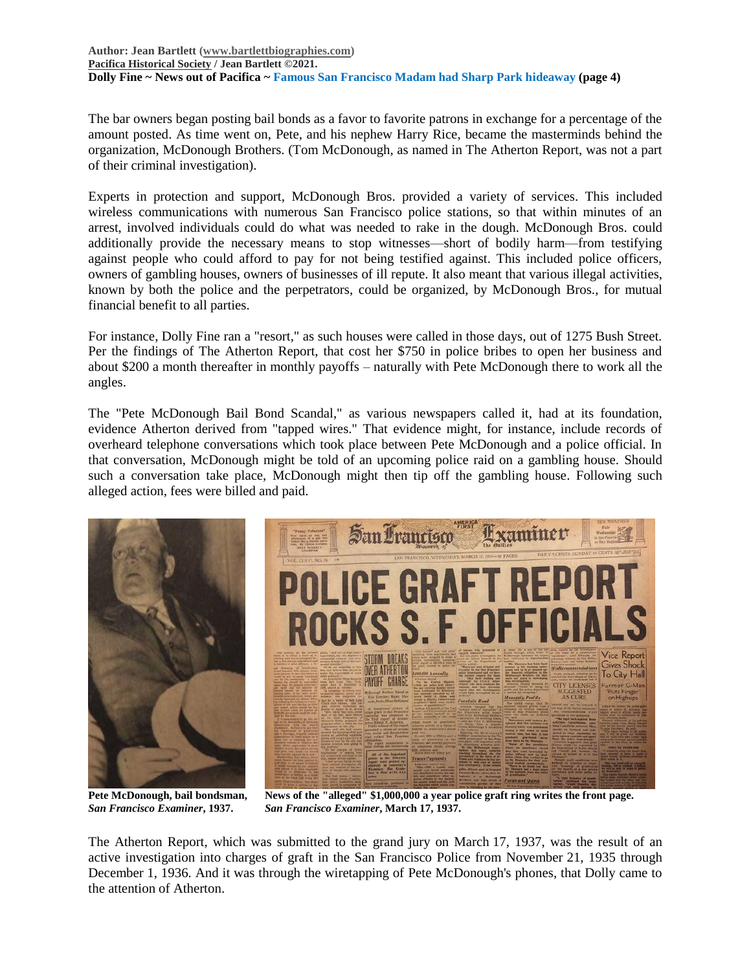#### **Author: Jean Bartlett [\(www.bartlettbiographies.com\)](http://www.bartlettbiographies.com/) [Pacifica Historical Society](http://pacificahistory.org/) / Jean Bartlett ©2021. Dolly Fine ~ News out of Pacifica ~ Famous San Francisco Madam had Sharp Park hideaway (page 4)**

The bar owners began posting bail bonds as a favor to favorite patrons in exchange for a percentage of the amount posted. As time went on, Pete, and his nephew Harry Rice, became the masterminds behind the organization, McDonough Brothers. (Tom McDonough, as named in The Atherton Report, was not a part of their criminal investigation).

Experts in protection and support, McDonough Bros. provided a variety of services. This included wireless communications with numerous San Francisco police stations, so that within minutes of an arrest, involved individuals could do what was needed to rake in the dough. McDonough Bros. could additionally provide the necessary means to stop witnesses—short of bodily harm—from testifying against people who could afford to pay for not being testified against. This included police officers, owners of gambling houses, owners of businesses of ill repute. It also meant that various illegal activities, known by both the police and the perpetrators, could be organized, by McDonough Bros., for mutual financial benefit to all parties.

For instance, Dolly Fine ran a "resort," as such houses were called in those days, out of 1275 Bush Street. Per the findings of The Atherton Report, that cost her \$750 in police bribes to open her business and about \$200 a month thereafter in monthly payoffs – naturally with Pete McDonough there to work all the angles.

The "Pete McDonough Bail Bond Scandal," as various newspapers called it, had at its foundation, evidence Atherton derived from "tapped wires." That evidence might, for instance, include records of overheard telephone conversations which took place between Pete McDonough and a police official. In that conversation, McDonough might be told of an upcoming police raid on a gambling house. Should such a conversation take place, McDonough might then tip off the gambling house. Following such alleged action, fees were billed and paid.



**Pete McDonough, bail bondsman, News of the "alleged" \$1,000,000 a year police graft ring writes the front page.** *San Francisco Examiner***, 1937.** *San Francisco Examiner***, March 17, 1937.**

The Atherton Report, which was submitted to the grand jury on March 17, 1937, was the result of an active investigation into charges of graft in the San Francisco Police from November 21, 1935 through December 1, 1936. And it was through the wiretapping of Pete McDonough's phones, that Dolly came to the attention of Atherton.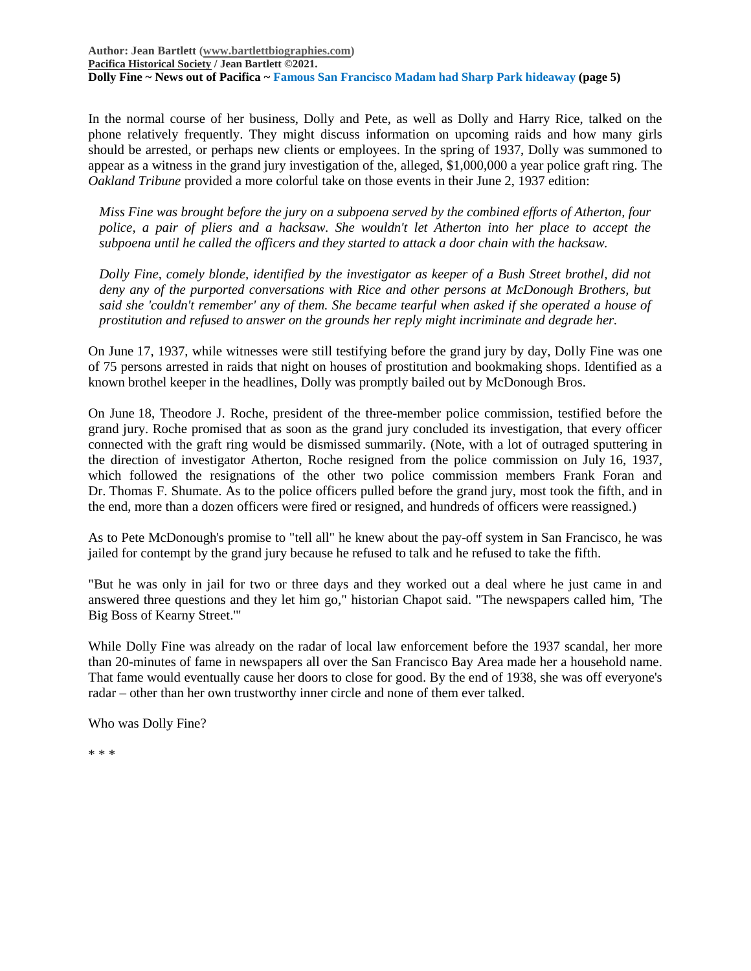**Author: Jean Bartlett [\(www.bartlettbiographies.com\)](http://www.bartlettbiographies.com/) [Pacifica Historical Society](http://pacificahistory.org/) / Jean Bartlett ©2021. Dolly Fine ~ News out of Pacifica ~ Famous San Francisco Madam had Sharp Park hideaway (page 5)**

In the normal course of her business, Dolly and Pete, as well as Dolly and Harry Rice, talked on the phone relatively frequently. They might discuss information on upcoming raids and how many girls should be arrested, or perhaps new clients or employees. In the spring of 1937, Dolly was summoned to appear as a witness in the grand jury investigation of the, alleged, \$1,000,000 a year police graft ring. The *Oakland Tribune* provided a more colorful take on those events in their June 2, 1937 edition:

*Miss Fine was brought before the jury on a subpoena served by the combined efforts of Atherton, four police, a pair of pliers and a hacksaw. She wouldn't let Atherton into her place to accept the subpoena until he called the officers and they started to attack a door chain with the hacksaw.*

*Dolly Fine, comely blonde, identified by the investigator as keeper of a Bush Street brothel, did not deny any of the purported conversations with Rice and other persons at McDonough Brothers, but said she 'couldn't remember' any of them. She became tearful when asked if she operated a house of prostitution and refused to answer on the grounds her reply might incriminate and degrade her.*

On June 17, 1937, while witnesses were still testifying before the grand jury by day, Dolly Fine was one of 75 persons arrested in raids that night on houses of prostitution and bookmaking shops. Identified as a known brothel keeper in the headlines, Dolly was promptly bailed out by McDonough Bros.

On June 18, Theodore J. Roche, president of the three-member police commission, testified before the grand jury. Roche promised that as soon as the grand jury concluded its investigation, that every officer connected with the graft ring would be dismissed summarily. (Note, with a lot of outraged sputtering in the direction of investigator Atherton, Roche resigned from the police commission on July 16, 1937, which followed the resignations of the other two police commission members Frank Foran and Dr. Thomas F. Shumate. As to the police officers pulled before the grand jury, most took the fifth, and in the end, more than a dozen officers were fired or resigned, and hundreds of officers were reassigned.)

As to Pete McDonough's promise to "tell all" he knew about the pay-off system in San Francisco, he was jailed for contempt by the grand jury because he refused to talk and he refused to take the fifth.

"But he was only in jail for two or three days and they worked out a deal where he just came in and answered three questions and they let him go," historian Chapot said. "The newspapers called him, 'The Big Boss of Kearny Street.'"

While Dolly Fine was already on the radar of local law enforcement before the 1937 scandal, her more than 20-minutes of fame in newspapers all over the San Francisco Bay Area made her a household name. That fame would eventually cause her doors to close for good. By the end of 1938, she was off everyone's radar – other than her own trustworthy inner circle and none of them ever talked.

Who was Dolly Fine?

\* \* \*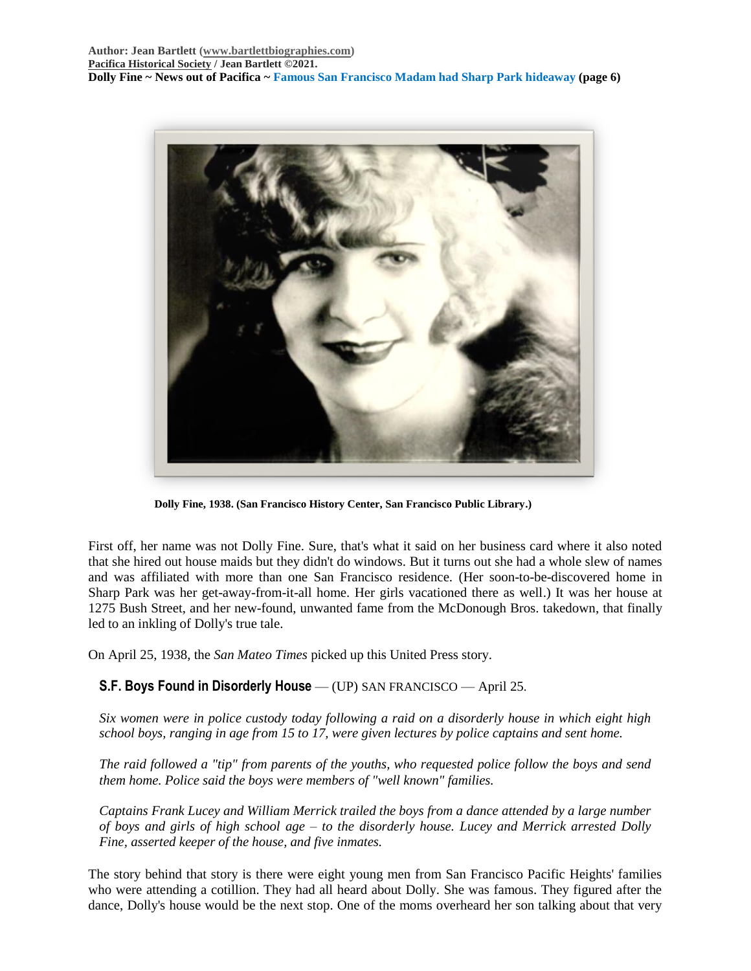**Author: Jean Bartlett [\(www.bartlettbiographies.com\)](http://www.bartlettbiographies.com/) [Pacifica Historical Society](http://pacificahistory.org/) / Jean Bartlett ©2021. Dolly Fine ~ News out of Pacifica ~ Famous San Francisco Madam had Sharp Park hideaway (page 6)**



**Dolly Fine, 1938. (San Francisco History Center, San Francisco Public Library.)**

First off, her name was not Dolly Fine. Sure, that's what it said on her business card where it also noted that she hired out house maids but they didn't do windows. But it turns out she had a whole slew of names and was affiliated with more than one San Francisco residence. (Her soon-to-be-discovered home in Sharp Park was her get-away-from-it-all home. Her girls vacationed there as well.) It was her house at 1275 Bush Street, and her new-found, unwanted fame from the McDonough Bros. takedown, that finally led to an inkling of Dolly's true tale.

On April 25, 1938, the *San Mateo Times* picked up this United Press story.

## **S.F. Boys Found in Disorderly House** — (UP) SAN FRANCISCO — April 25.

*Six women were in police custody today following a raid on a disorderly house in which eight high school boys, ranging in age from 15 to 17, were given lectures by police captains and sent home.*

*The raid followed a "tip" from parents of the youths, who requested police follow the boys and send them home. Police said the boys were members of "well known" families.*

*Captains Frank Lucey and William Merrick trailed the boys from a dance attended by a large number of boys and girls of high school age – to the disorderly house. Lucey and Merrick arrested Dolly Fine, asserted keeper of the house, and five inmates.*

The story behind that story is there were eight young men from San Francisco Pacific Heights' families who were attending a cotillion. They had all heard about Dolly. She was famous. They figured after the dance, Dolly's house would be the next stop. One of the moms overheard her son talking about that very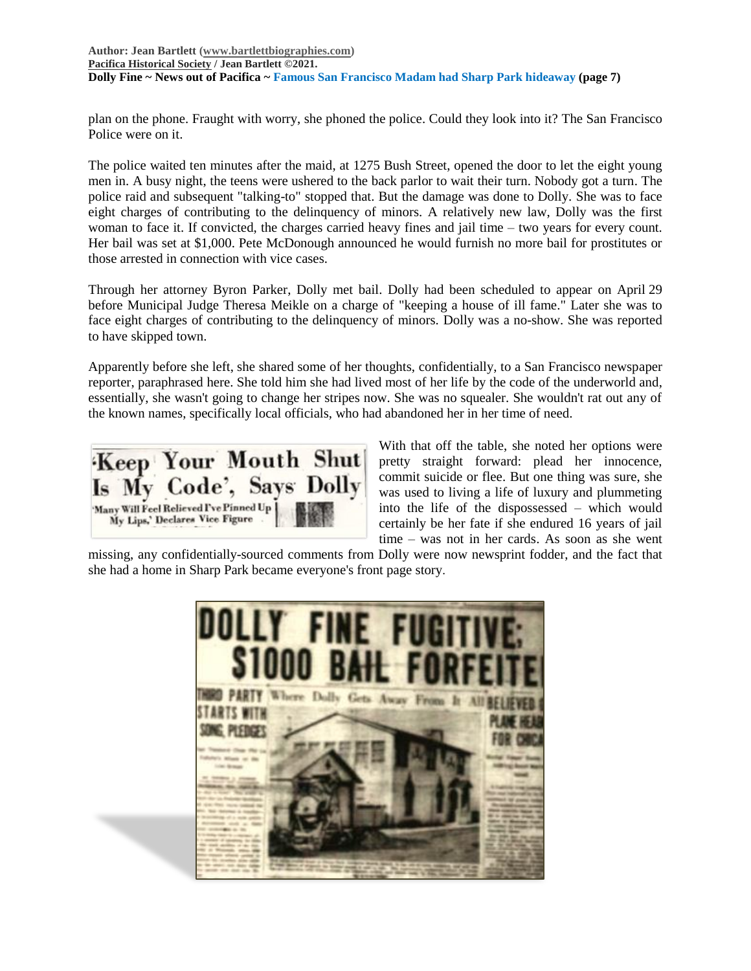plan on the phone. Fraught with worry, she phoned the police. Could they look into it? The San Francisco Police were on it.

The police waited ten minutes after the maid, at 1275 Bush Street, opened the door to let the eight young men in. A busy night, the teens were ushered to the back parlor to wait their turn. Nobody got a turn. The police raid and subsequent "talking-to" stopped that. But the damage was done to Dolly. She was to face eight charges of contributing to the delinquency of minors. A relatively new law, Dolly was the first woman to face it. If convicted, the charges carried heavy fines and jail time – two years for every count. Her bail was set at \$1,000. Pete McDonough announced he would furnish no more bail for prostitutes or those arrested in connection with vice cases.

Through her attorney Byron Parker, Dolly met bail. Dolly had been scheduled to appear on April 29 before Municipal Judge Theresa Meikle on a charge of "keeping a house of ill fame." Later she was to face eight charges of contributing to the delinquency of minors. Dolly was a no-show. She was reported to have skipped town.

Apparently before she left, she shared some of her thoughts, confidentially, to a San Francisco newspaper reporter, paraphrased here. She told him she had lived most of her life by the code of the underworld and, essentially, she wasn't going to change her stripes now. She was no squealer. She wouldn't rat out any of the known names, specifically local officials, who had abandoned her in her time of need.

Keep Your Mouth Shut Is My Code', Says Dolly 'Many Will Feel Relieved I've Pinned Up My Lips,' Declares Vice Figure

With that off the table, she noted her options were pretty straight forward: plead her innocence, commit suicide or flee. But one thing was sure, she was used to living a life of luxury and plummeting into the life of the dispossessed – which would certainly be her fate if she endured 16 years of jail time – was not in her cards. As soon as she went

missing, any confidentially-sourced comments from Dolly were now newsprint fodder, and the fact that she had a home in Sharp Park became everyone's front page story.

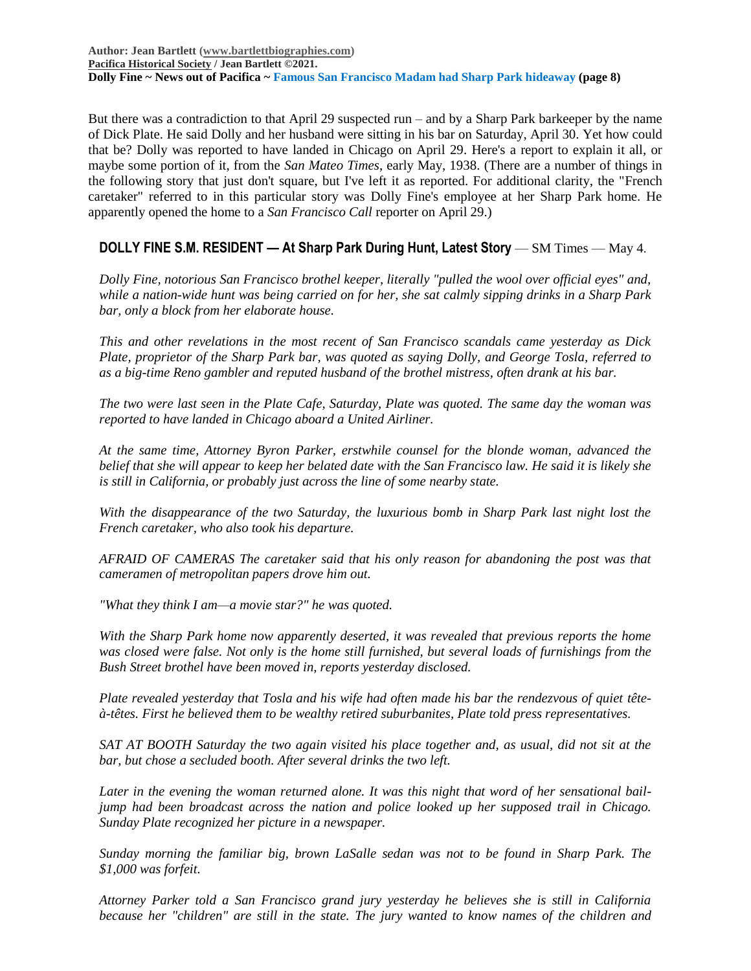**Author: Jean Bartlett [\(www.bartlettbiographies.com\)](http://www.bartlettbiographies.com/) [Pacifica Historical Society](http://pacificahistory.org/) / Jean Bartlett ©2021. Dolly Fine ~ News out of Pacifica ~ Famous San Francisco Madam had Sharp Park hideaway (page 8)**

But there was a contradiction to that April 29 suspected run – and by a Sharp Park barkeeper by the name of Dick Plate. He said Dolly and her husband were sitting in his bar on Saturday, April 30. Yet how could that be? Dolly was reported to have landed in Chicago on April 29. Here's a report to explain it all, or maybe some portion of it, from the *San Mateo Times*, early May, 1938. (There are a number of things in the following story that just don't square, but I've left it as reported. For additional clarity, the "French caretaker" referred to in this particular story was Dolly Fine's employee at her Sharp Park home. He apparently opened the home to a *San Francisco Call* reporter on April 29.)

## **DOLLY FINE S.M. RESIDENT — At Sharp Park During Hunt, Latest Story** — SM Times — May 4.

*Dolly Fine, notorious San Francisco brothel keeper, literally "pulled the wool over official eyes" and, while a nation-wide hunt was being carried on for her, she sat calmly sipping drinks in a Sharp Park bar, only a block from her elaborate house.*

*This and other revelations in the most recent of San Francisco scandals came yesterday as Dick Plate, proprietor of the Sharp Park bar, was quoted as saying Dolly, and George Tosla, referred to as a big-time Reno gambler and reputed husband of the brothel mistress, often drank at his bar.*

*The two were last seen in the Plate Cafe, Saturday, Plate was quoted. The same day the woman was reported to have landed in Chicago aboard a United Airliner.*

*At the same time, Attorney Byron Parker, erstwhile counsel for the blonde woman, advanced the belief that she will appear to keep her belated date with the San Francisco law. He said it is likely she is still in California, or probably just across the line of some nearby state.*

*With the disappearance of the two Saturday, the luxurious bomb in Sharp Park last night lost the French caretaker, who also took his departure.*

*AFRAID OF CAMERAS The caretaker said that his only reason for abandoning the post was that cameramen of metropolitan papers drove him out.*

*"What they think I am—a movie star?" he was quoted.*

*With the Sharp Park home now apparently deserted, it was revealed that previous reports the home*  was closed were false. Not only is the home still furnished, but several loads of furnishings from the *Bush Street brothel have been moved in, reports yesterday disclosed.*

*Plate revealed yesterday that Tosla and his wife had often made his bar the rendezvous of quiet têteà-têtes. First he believed them to be wealthy retired suburbanites, Plate told press representatives.*

*SAT AT BOOTH Saturday the two again visited his place together and, as usual, did not sit at the bar, but chose a secluded booth. After several drinks the two left.*

*Later in the evening the woman returned alone. It was this night that word of her sensational bailjump had been broadcast across the nation and police looked up her supposed trail in Chicago. Sunday Plate recognized her picture in a newspaper.*

*Sunday morning the familiar big, brown LaSalle sedan was not to be found in Sharp Park. The \$1,000 was forfeit.*

*Attorney Parker told a San Francisco grand jury yesterday he believes she is still in California because her "children" are still in the state. The jury wanted to know names of the children and*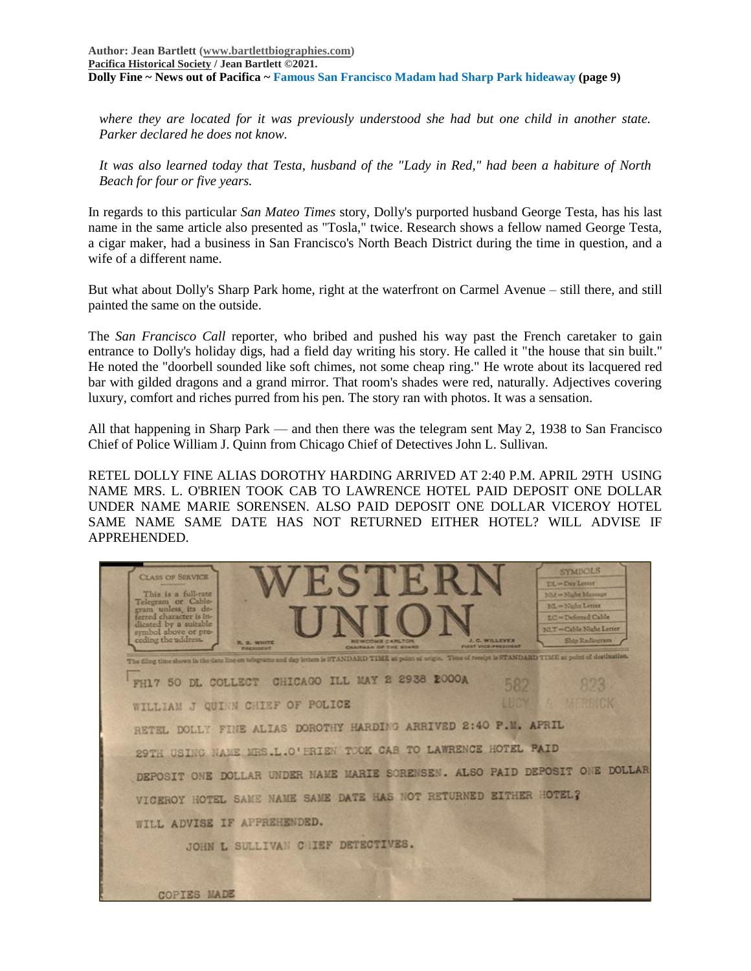*where they are located for it was previously understood she had but one child in another state. Parker declared he does not know.*

*It was also learned today that Testa, husband of the "Lady in Red," had been a habiture of North Beach for four or five years.*

In regards to this particular *San Mateo Times* story, Dolly's purported husband George Testa, has his last name in the same article also presented as "Tosla," twice. Research shows a fellow named George Testa, a cigar maker, had a business in San Francisco's North Beach District during the time in question, and a wife of a different name.

But what about Dolly's Sharp Park home, right at the waterfront on Carmel Avenue – still there, and still painted the same on the outside.

The *San Francisco Call* reporter, who bribed and pushed his way past the French caretaker to gain entrance to Dolly's holiday digs, had a field day writing his story. He called it "the house that sin built." He noted the "doorbell sounded like soft chimes, not some cheap ring." He wrote about its lacquered red bar with gilded dragons and a grand mirror. That room's shades were red, naturally. Adjectives covering luxury, comfort and riches purred from his pen. The story ran with photos. It was a sensation.

All that happening in Sharp Park — and then there was the telegram sent May 2, 1938 to San Francisco Chief of Police William J. Quinn from Chicago Chief of Detectives John L. Sullivan.

RETEL DOLLY FINE ALIAS DOROTHY HARDING ARRIVED AT 2:40 P.M. APRIL 29TH USING NAME MRS. L. O'BRIEN TOOK CAB TO LAWRENCE HOTEL PAID DEPOSIT ONE DOLLAR UNDER NAME MARIE SORENSEN. ALSO PAID DEPOSIT ONE DOLLAR VICEROY HOTEL SAME NAME SAME DATE HAS NOT RETURNED EITHER HOTEL? WILL ADVISE IF APPREHENDED.

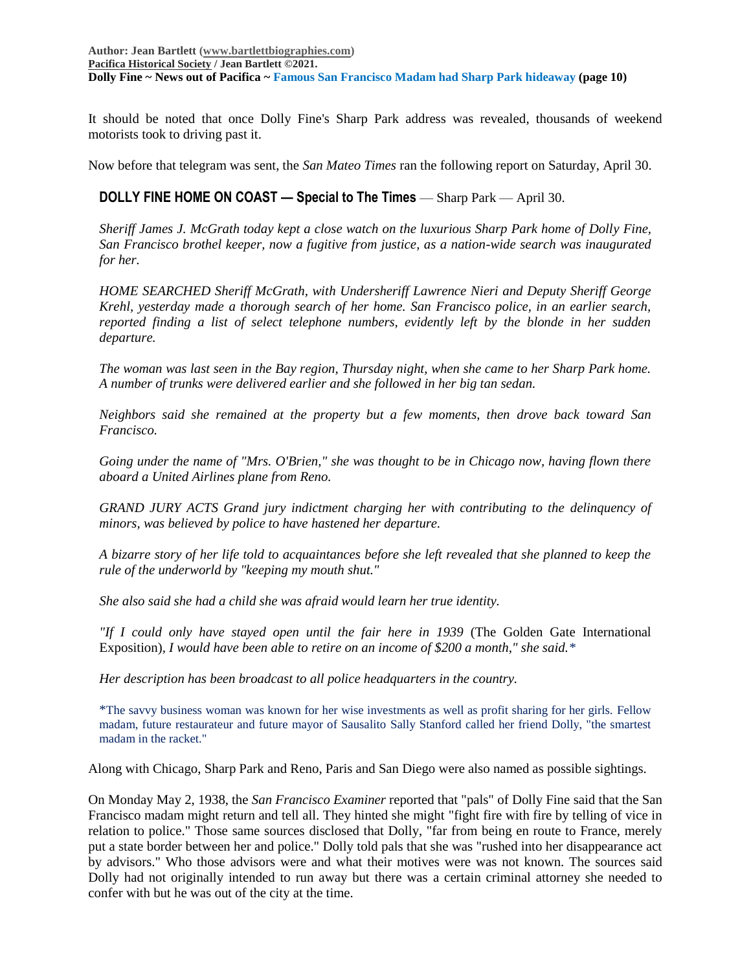It should be noted that once Dolly Fine's Sharp Park address was revealed, thousands of weekend motorists took to driving past it.

Now before that telegram was sent, the *San Mateo Times* ran the following report on Saturday, April 30.

#### **DOLLY FINE HOME ON COAST — Special to The Times — Sharp Park — April 30.**

*Sheriff James J. McGrath today kept a close watch on the luxurious Sharp Park home of Dolly Fine, San Francisco brothel keeper, now a fugitive from justice, as a nation-wide search was inaugurated for her.*

*HOME SEARCHED Sheriff McGrath, with Undersheriff Lawrence Nieri and Deputy Sheriff George Krehl, yesterday made a thorough search of her home. San Francisco police, in an earlier search, reported finding a list of select telephone numbers, evidently left by the blonde in her sudden departure.*

*The woman was last seen in the Bay region, Thursday night, when she came to her Sharp Park home. A number of trunks were delivered earlier and she followed in her big tan sedan.*

*Neighbors said she remained at the property but a few moments, then drove back toward San Francisco.*

*Going under the name of "Mrs. O'Brien," she was thought to be in Chicago now, having flown there aboard a United Airlines plane from Reno.*

*GRAND JURY ACTS Grand jury indictment charging her with contributing to the delinquency of minors, was believed by police to have hastened her departure.*

*A bizarre story of her life told to acquaintances before she left revealed that she planned to keep the rule of the underworld by "keeping my mouth shut."*

*She also said she had a child she was afraid would learn her true identity.*

*"If I could only have stayed open until the fair here in 1939* (The Golden Gate International Exposition)*, I would have been able to retire on an income of \$200 a month," she said.\**

*Her description has been broadcast to all police headquarters in the country.*

\*The savvy business woman was known for her wise investments as well as profit sharing for her girls. Fellow madam, future restaurateur and future mayor of Sausalito Sally Stanford called her friend Dolly, "the smartest madam in the racket."

Along with Chicago, Sharp Park and Reno, Paris and San Diego were also named as possible sightings.

On Monday May 2, 1938, the *San Francisco Examiner* reported that "pals" of Dolly Fine said that the San Francisco madam might return and tell all. They hinted she might "fight fire with fire by telling of vice in relation to police." Those same sources disclosed that Dolly, "far from being en route to France, merely put a state border between her and police." Dolly told pals that she was "rushed into her disappearance act by advisors." Who those advisors were and what their motives were was not known. The sources said Dolly had not originally intended to run away but there was a certain criminal attorney she needed to confer with but he was out of the city at the time.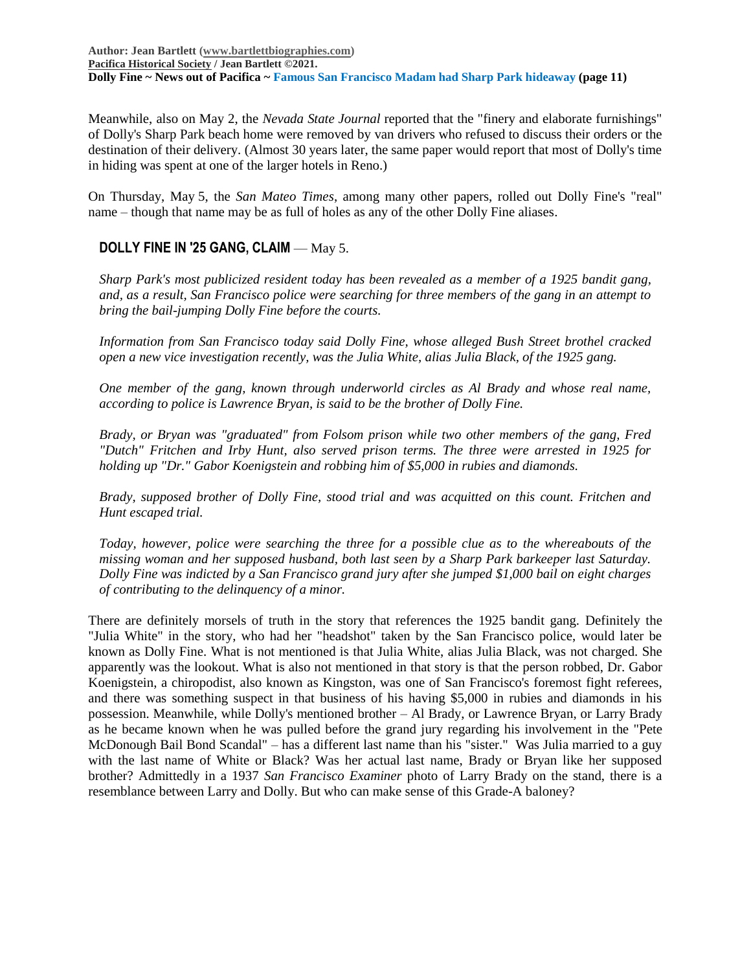**Author: Jean Bartlett [\(www.bartlettbiographies.com\)](http://www.bartlettbiographies.com/) [Pacifica Historical Society](http://pacificahistory.org/) / Jean Bartlett ©2021. Dolly Fine ~ News out of Pacifica ~ Famous San Francisco Madam had Sharp Park hideaway (page 11)**

Meanwhile, also on May 2, the *Nevada State Journal* reported that the "finery and elaborate furnishings" of Dolly's Sharp Park beach home were removed by van drivers who refused to discuss their orders or the destination of their delivery. (Almost 30 years later, the same paper would report that most of Dolly's time in hiding was spent at one of the larger hotels in Reno.)

On Thursday, May 5, the *San Mateo Times*, among many other papers, rolled out Dolly Fine's "real" name – though that name may be as full of holes as any of the other Dolly Fine aliases.

## **DOLLY FINE IN '25 GANG, CLAIM** — May 5.

*Sharp Park's most publicized resident today has been revealed as a member of a 1925 bandit gang, and, as a result, San Francisco police were searching for three members of the gang in an attempt to bring the bail-jumping Dolly Fine before the courts.*

*Information from San Francisco today said Dolly Fine, whose alleged Bush Street brothel cracked open a new vice investigation recently, was the Julia White, alias Julia Black, of the 1925 gang.*

*One member of the gang, known through underworld circles as Al Brady and whose real name, according to police is Lawrence Bryan, is said to be the brother of Dolly Fine.*

*Brady, or Bryan was "graduated" from Folsom prison while two other members of the gang, Fred "Dutch" Fritchen and Irby Hunt, also served prison terms. The three were arrested in 1925 for holding up "Dr." Gabor Koenigstein and robbing him of \$5,000 in rubies and diamonds.*

*Brady, supposed brother of Dolly Fine, stood trial and was acquitted on this count. Fritchen and Hunt escaped trial.*

*Today, however, police were searching the three for a possible clue as to the whereabouts of the missing woman and her supposed husband, both last seen by a Sharp Park barkeeper last Saturday. Dolly Fine was indicted by a San Francisco grand jury after she jumped \$1,000 bail on eight charges of contributing to the delinquency of a minor.*

There are definitely morsels of truth in the story that references the 1925 bandit gang. Definitely the "Julia White" in the story, who had her "headshot" taken by the San Francisco police, would later be known as Dolly Fine. What is not mentioned is that Julia White, alias Julia Black, was not charged. She apparently was the lookout. What is also not mentioned in that story is that the person robbed, Dr. Gabor Koenigstein, a chiropodist, also known as Kingston, was one of San Francisco's foremost fight referees, and there was something suspect in that business of his having \$5,000 in rubies and diamonds in his possession. Meanwhile, while Dolly's mentioned brother – Al Brady, or Lawrence Bryan, or Larry Brady as he became known when he was pulled before the grand jury regarding his involvement in the "Pete McDonough Bail Bond Scandal" – has a different last name than his "sister." Was Julia married to a guy with the last name of White or Black? Was her actual last name, Brady or Bryan like her supposed brother? Admittedly in a 1937 *San Francisco Examiner* photo of Larry Brady on the stand, there is a resemblance between Larry and Dolly. But who can make sense of this Grade-A baloney?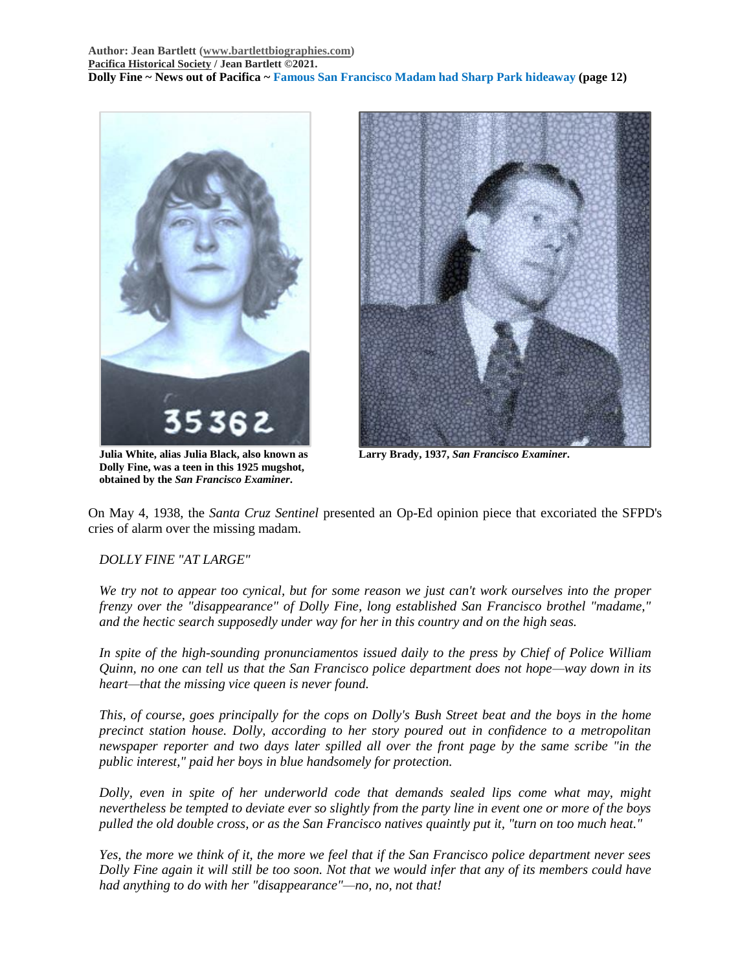



**Julia White, alias Julia Black, also known as Larry Brady, 1937,** *San Francisco Examiner***. Dolly Fine, was a teen in this 1925 mugshot, obtained by the** *San Francisco Examiner***.**

On May 4, 1938, the *Santa Cruz Sentinel* presented an Op-Ed opinion piece that excoriated the SFPD's cries of alarm over the missing madam.

## *DOLLY FINE "AT LARGE"*

*We try not to appear too cynical, but for some reason we just can't work ourselves into the proper frenzy over the "disappearance" of Dolly Fine, long established San Francisco brothel "madame," and the hectic search supposedly under way for her in this country and on the high seas.*

*In spite of the high-sounding pronunciamentos issued daily to the press by Chief of Police William Quinn, no one can tell us that the San Francisco police department does not hope—way down in its heart—that the missing vice queen is never found.*

*This, of course, goes principally for the cops on Dolly's Bush Street beat and the boys in the home precinct station house. Dolly, according to her story poured out in confidence to a metropolitan newspaper reporter and two days later spilled all over the front page by the same scribe "in the public interest," paid her boys in blue handsomely for protection.*

*Dolly, even in spite of her underworld code that demands sealed lips come what may, might nevertheless be tempted to deviate ever so slightly from the party line in event one or more of the boys pulled the old double cross, or as the San Francisco natives quaintly put it, "turn on too much heat."*

*Yes, the more we think of it, the more we feel that if the San Francisco police department never sees Dolly Fine again it will still be too soon. Not that we would infer that any of its members could have had anything to do with her "disappearance"—no, no, not that!*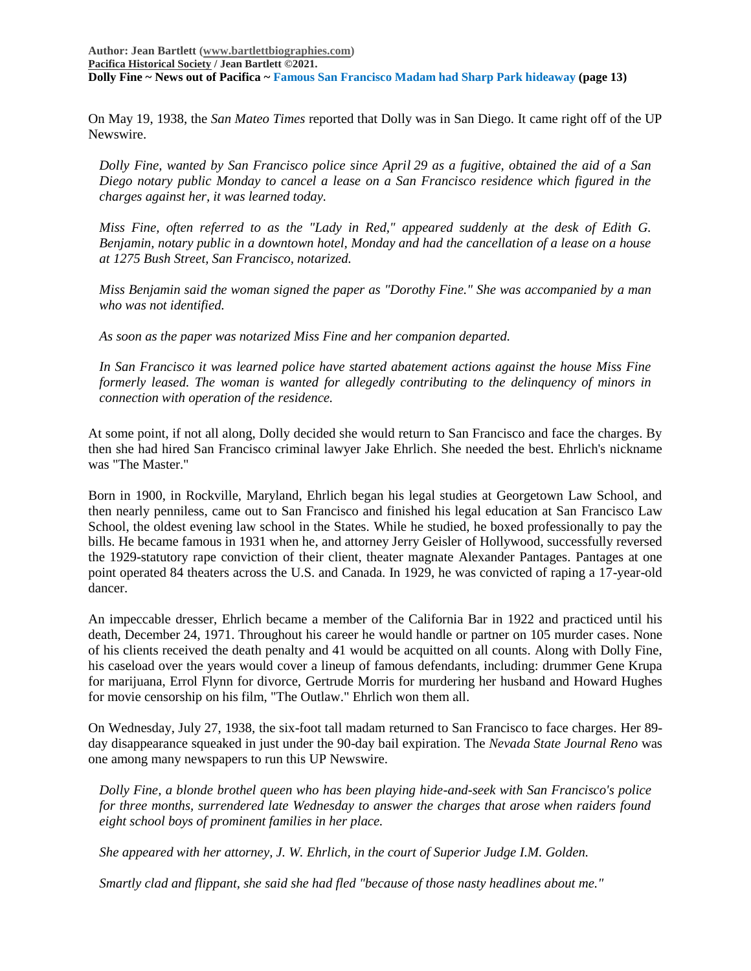On May 19, 1938, the *San Mateo Times* reported that Dolly was in San Diego. It came right off of the UP Newswire.

*Dolly Fine, wanted by San Francisco police since April 29 as a fugitive, obtained the aid of a San Diego notary public Monday to cancel a lease on a San Francisco residence which figured in the charges against her, it was learned today.*

*Miss Fine, often referred to as the "Lady in Red," appeared suddenly at the desk of Edith G. Benjamin, notary public in a downtown hotel, Monday and had the cancellation of a lease on a house at 1275 Bush Street, San Francisco, notarized.*

*Miss Benjamin said the woman signed the paper as "Dorothy Fine." She was accompanied by a man who was not identified.*

*As soon as the paper was notarized Miss Fine and her companion departed.*

*In San Francisco it was learned police have started abatement actions against the house Miss Fine formerly leased. The woman is wanted for allegedly contributing to the delinquency of minors in connection with operation of the residence.*

At some point, if not all along, Dolly decided she would return to San Francisco and face the charges. By then she had hired San Francisco criminal lawyer Jake Ehrlich. She needed the best. Ehrlich's nickname was "The Master."

Born in 1900, in Rockville, Maryland, Ehrlich began his legal studies at Georgetown Law School, and then nearly penniless, came out to San Francisco and finished his legal education at San Francisco Law School, the oldest evening law school in the States. While he studied, he boxed professionally to pay the bills. He became famous in 1931 when he, and attorney Jerry Geisler of Hollywood, successfully reversed the 1929-statutory rape conviction of their client, theater magnate Alexander Pantages. Pantages at one point operated 84 theaters across the U.S. and Canada. In 1929, he was convicted of raping a 17-year-old dancer.

An impeccable dresser, Ehrlich became a member of the California Bar in 1922 and practiced until his death, December 24, 1971. Throughout his career he would handle or partner on 105 murder cases. None of his clients received the death penalty and 41 would be acquitted on all counts. Along with Dolly Fine, his caseload over the years would cover a lineup of famous defendants, including: drummer Gene Krupa for marijuana, Errol Flynn for divorce, Gertrude Morris for murdering her husband and Howard Hughes for movie censorship on his film, "The Outlaw." Ehrlich won them all.

On Wednesday, July 27, 1938, the six-foot tall madam returned to San Francisco to face charges. Her 89 day disappearance squeaked in just under the 90-day bail expiration. The *Nevada State Journal Reno* was one among many newspapers to run this UP Newswire.

*Dolly Fine, a blonde brothel queen who has been playing hide-and-seek with San Francisco's police for three months, surrendered late Wednesday to answer the charges that arose when raiders found eight school boys of prominent families in her place.*

*She appeared with her attorney, J. W. Ehrlich, in the court of Superior Judge I.M. Golden.*

*Smartly clad and flippant, she said she had fled "because of those nasty headlines about me."*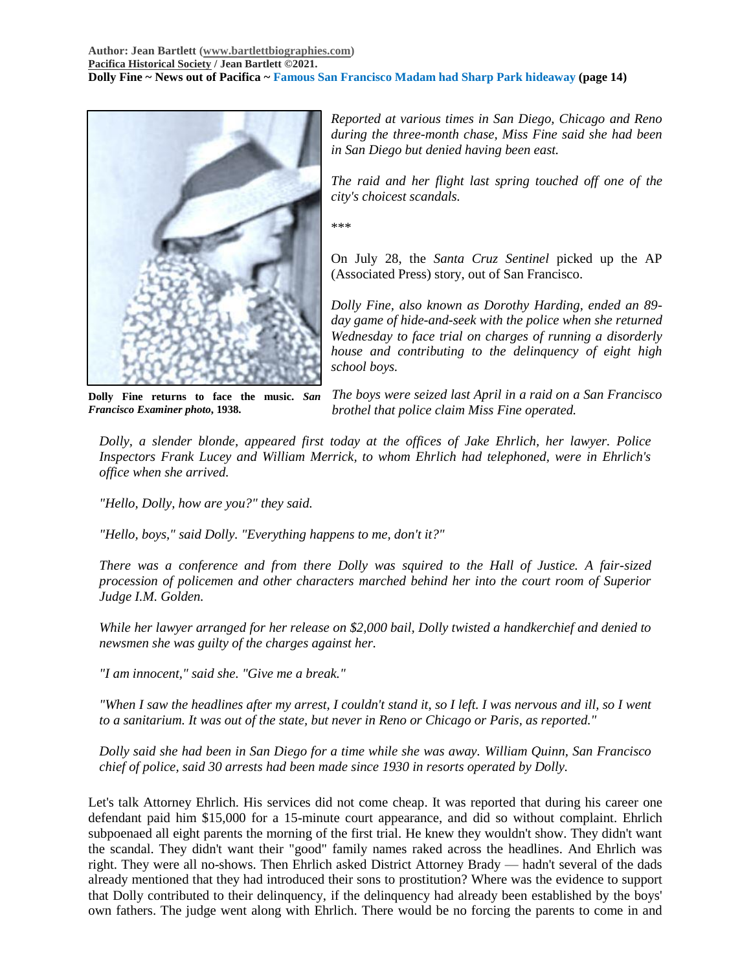

**Dolly Fine returns to face the music.** *San Francisco Examiner photo***, 1938.**

*Reported at various times in San Diego, Chicago and Reno during the three-month chase, Miss Fine said she had been in San Diego but denied having been east.*

*The raid and her flight last spring touched off one of the city's choicest scandals.*

\*\*\*

On July 28, the *Santa Cruz Sentinel* picked up the AP (Associated Press) story, out of San Francisco.

*Dolly Fine, also known as Dorothy Harding, ended an 89 day game of hide-and-seek with the police when she returned Wednesday to face trial on charges of running a disorderly house and contributing to the delinquency of eight high school boys.*

*The boys were seized last April in a raid on a San Francisco brothel that police claim Miss Fine operated.*

*Dolly, a slender blonde, appeared first today at the offices of Jake Ehrlich, her lawyer. Police Inspectors Frank Lucey and William Merrick, to whom Ehrlich had telephoned, were in Ehrlich's office when she arrived.*

*"Hello, Dolly, how are you?" they said.*

*"Hello, boys," said Dolly. "Everything happens to me, don't it?"*

*There was a conference and from there Dolly was squired to the Hall of Justice. A fair-sized procession of policemen and other characters marched behind her into the court room of Superior Judge I.M. Golden.*

*While her lawyer arranged for her release on \$2,000 bail, Dolly twisted a handkerchief and denied to newsmen she was guilty of the charges against her.*

*"I am innocent," said she. "Give me a break."*

*"When I saw the headlines after my arrest, I couldn't stand it, so I left. I was nervous and ill, so I went to a sanitarium. It was out of the state, but never in Reno or Chicago or Paris, as reported."*

*Dolly said she had been in San Diego for a time while she was away. William Quinn, San Francisco chief of police, said 30 arrests had been made since 1930 in resorts operated by Dolly.*

Let's talk Attorney Ehrlich. His services did not come cheap. It was reported that during his career one defendant paid him \$15,000 for a 15-minute court appearance, and did so without complaint. Ehrlich subpoenaed all eight parents the morning of the first trial. He knew they wouldn't show. They didn't want the scandal. They didn't want their "good" family names raked across the headlines. And Ehrlich was right. They were all no-shows. Then Ehrlich asked District Attorney Brady — hadn't several of the dads already mentioned that they had introduced their sons to prostitution? Where was the evidence to support that Dolly contributed to their delinquency, if the delinquency had already been established by the boys' own fathers. The judge went along with Ehrlich. There would be no forcing the parents to come in and